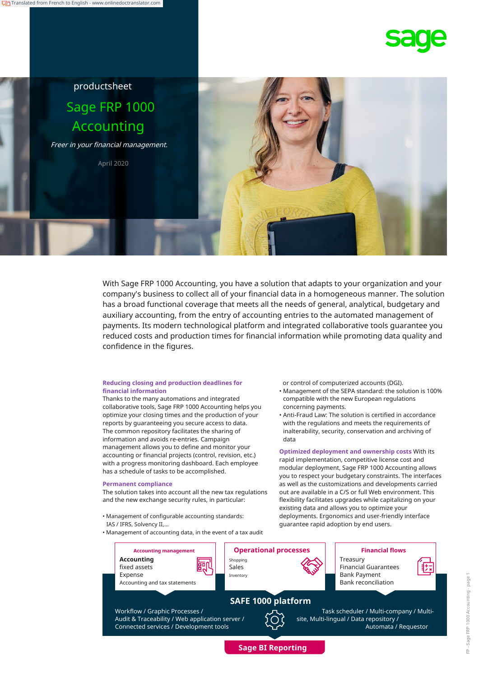



With Sage FRP 1000 Accounting, you have a solution that adapts to your organization and your company's business to collect all of your financial data in a homogeneous manner. The solution has a broad functional coverage that meets all the needs of general, analytical, budgetary and auxiliary accounting, from the entry of accounting entries to the automated management of payments. Its modern technological platform and integrated collaborative tools guarantee you reduced costs and production times for financial information while promoting data quality and confidence in the figures.

#### **Reducing closing and production deadlines for financial information**

Thanks to the many automations and integrated collaborative tools, Sage FRP 1000 Accounting helps you optimize your closing times and the production of your reports by guaranteeing you secure access to data. The common repository facilitates the sharing of information and avoids re-entries. Campaign management allows you to define and monitor your accounting or financial projects (control, revision, etc.) with a progress monitoring dashboard. Each employee has a schedule of tasks to be accomplished.

#### **Permanent compliance**

The solution takes into account all the new tax regulations and the new exchange security rules, in particular:

- Management of configurable accounting standards: IAS / IFRS, Solvency II,…
- Management of accounting data, in the event of a tax audit

or control of computerized accounts (DGI).

- Management of the SEPA standard: the solution is 100% compatible with the new European regulations concerning payments.
- Anti-Fraud Law: The solution is certified in accordance with the regulations and meets the requirements of inalterability, security, conservation and archiving of data

**Optimized deployment and ownership costs** With its rapid implementation, competitive license cost and modular deployment, Sage FRP 1000 Accounting allows you to respect your budgetary constraints. The interfaces as well as the customizations and developments carried out are available in a C/S or full Web environment. This flexibility facilitates upgrades while capitalizing on your existing data and allows you to optimize your deployments. Ergonomics and user-friendly interface guarantee rapid adoption by end users.



**Sage BI Reporting**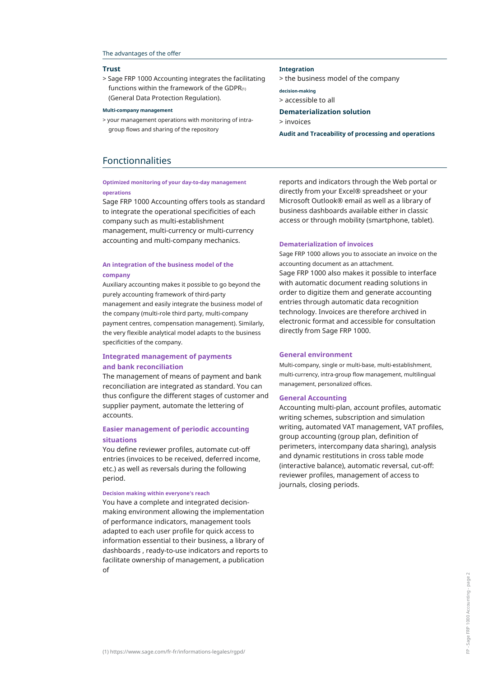#### The advantages of the offer

#### **Trust**

> Sage FRP 1000 Accounting integrates the facilitating functions within the framework of the GDPR $(1)$ (General Data Protection Regulation).

#### **Multi-company management**

> your management operations with monitoring of intragroup flows and sharing of the repository

# Fonctionnalities

## **Optimized monitoring of your day-to-day management operations**

Sage FRP 1000 Accounting offers tools as standard to integrate the operational specificities of each company such as multi-establishment management, multi-currency or multi-currency accounting and multi-company mechanics.

## **An integration of the business model of the company**

Auxiliary accounting makes it possible to go beyond the purely accounting framework of third-party management and easily integrate the business model of the company (multi-role third party, multi-company payment centres, compensation management). Similarly, the very flexible analytical model adapts to the business specificities of the company.

# **Integrated management of payments and bank reconciliation**

The management of means of payment and bank reconciliation are integrated as standard. You can thus configure the different stages of customer and supplier payment, automate the lettering of accounts.

# **Easier management of periodic accounting situations**

You define reviewer profiles, automate cut-off entries (invoices to be received, deferred income, etc.) as well as reversals during the following period.

#### **Decision making within everyone's reach**

You have a complete and integrated decisionmaking environment allowing the implementation of performance indicators, management tools adapted to each user profile for quick access to information essential to their business, a library of dashboards , ready-to-use indicators and reports to facilitate ownership of management, a publication  $\Omega$ 

reports and indicators through the Web portal or directly from your Excel® spreadsheet or your Microsoft Outlook® email as well as a library of business dashboards available either in classic access or through mobility (smartphone, tablet).

#### **Dematerialization of invoices**

Sage FRP 1000 allows you to associate an invoice on the accounting document as an attachment. Sage FRP 1000 also makes it possible to interface with automatic document reading solutions in order to digitize them and generate accounting entries through automatic data recognition technology. Invoices are therefore archived in electronic format and accessible for consultation directly from Sage FRP 1000.

#### **General environment**

Multi-company, single or multi-base, multi-establishment, multi-currency, intra-group flow management, multilingual management, personalized offices.

#### **General Accounting**

Accounting multi-plan, account profiles, automatic writing schemes, subscription and simulation writing, automated VAT management, VAT profiles, group accounting (group plan, definition of perimeters, intercompany data sharing), analysis and dynamic restitutions in cross table mode (interactive balance), automatic reversal, cut-off: reviewer profiles, management of access to journals, closing periods.

> the business model of the company

**decision-making** > accessible to all

**Integration**

**Dematerialization solution** > invoices

**Audit and Traceability of processing and operations**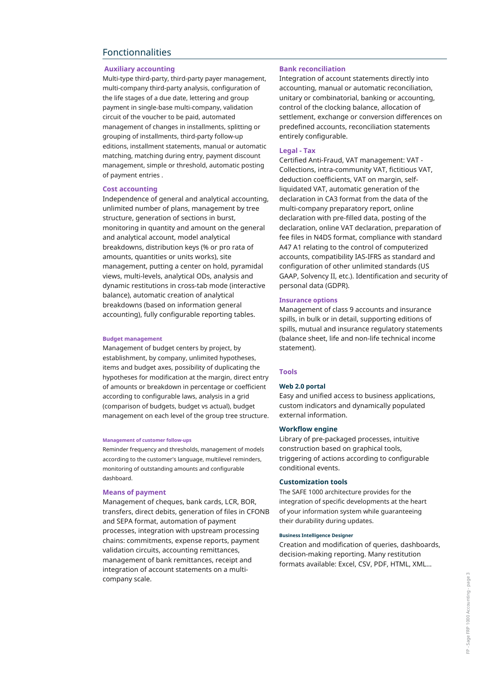# Fonctionnalities

# **Auxiliary accounting**

Multi-type third-party, third-party payer management, multi-company third-party analysis, configuration of the life stages of a due date, lettering and group payment in single-base multi-company, validation circuit of the voucher to be paid, automated management of changes in installments, splitting or grouping of installments, third-party follow-up editions, installment statements, manual or automatic matching, matching during entry, payment discount management, simple or threshold, automatic posting of payment entries .

### **Cost accounting**

Independence of general and analytical accounting, unlimited number of plans, management by tree structure, generation of sections in burst, monitoring in quantity and amount on the general and analytical account, model analytical breakdowns, distribution keys (% or pro rata of amounts, quantities or units works), site management, putting a center on hold, pyramidal views, multi-levels, analytical ODs, analysis and dynamic restitutions in cross-tab mode (interactive balance), automatic creation of analytical breakdowns (based on information general accounting), fully configurable reporting tables.

#### **Budget management**

Management of budget centers by project, by establishment, by company, unlimited hypotheses, items and budget axes, possibility of duplicating the hypotheses for modification at the margin, direct entry of amounts or breakdown in percentage or coefficient according to configurable laws, analysis in a grid (comparison of budgets, budget vs actual), budget management on each level of the group tree structure.

#### **Management of customer follow-ups**

Reminder frequency and thresholds, management of models according to the customer's language, multilevel reminders, monitoring of outstanding amounts and configurable dashboard. **Customization tools**

## **Means of payment**

Management of cheques, bank cards, LCR, BOR, transfers, direct debits, generation of files in CFONB and SEPA format, automation of payment processes, integration with upstream processing chains: commitments, expense reports, payment validation circuits, accounting remittances, management of bank remittances, receipt and integration of account statements on a multicompany scale.

### **Bank reconciliation**

Integration of account statements directly into accounting, manual or automatic reconciliation, unitary or combinatorial, banking or accounting, control of the clocking balance, allocation of settlement, exchange or conversion differences on predefined accounts, reconciliation statements entirely configurable.

## **Legal - Tax**

Certified Anti-Fraud, VAT management: VAT - Collections, intra-community VAT, fictitious VAT, deduction coefficients, VAT on margin, selfliquidated VAT, automatic generation of the declaration in CA3 format from the data of the multi-company preparatory report, online declaration with pre-filled data, posting of the declaration, online VAT declaration, preparation of fee files in N4DS format, compliance with standard A47 A1 relating to the control of computerized accounts, compatibility IAS-IFRS as standard and configuration of other unlimited standards (US GAAP, Solvency II, etc.). Identification and security of personal data (GDPR).

### **Insurance options**

Management of class 9 accounts and insurance spills, in bulk or in detail, supporting editions of spills, mutual and insurance regulatory statements (balance sheet, life and non-life technical income statement).

#### **Tools**

### **Web 2.0 portal**

Easy and unified access to business applications, custom indicators and dynamically populated external information.

### **Workflow engine**

Library of pre-packaged processes, intuitive construction based on graphical tools, triggering of actions according to configurable conditional events.

The SAFE 1000 architecture provides for the integration of specific developments at the heart of your information system while guaranteeing their durability during updates.

#### **Business Intelligence Designer**

Creation and modification of queries, dashboards, decision-making reporting. Many restitution formats available: Excel, CSV, PDF, HTML, XML…